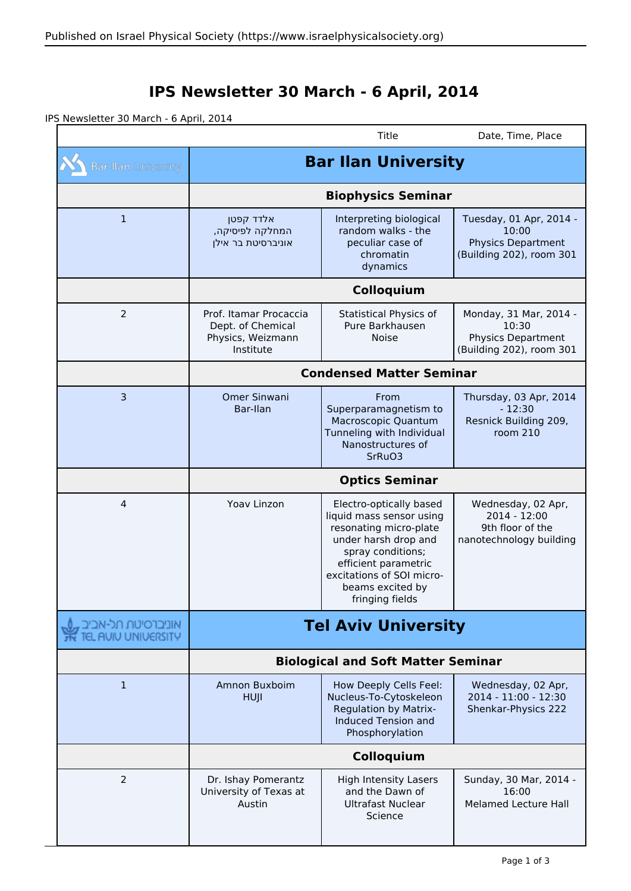## **IPS Newsletter 30 March - 6 April, 2014**

IPS Newsletter 30 March - 6 April, 2014

|                                             |                                                                               | Title                                                                                                                                                                                                                  | Date, Time, Place                                                                         |  |
|---------------------------------------------|-------------------------------------------------------------------------------|------------------------------------------------------------------------------------------------------------------------------------------------------------------------------------------------------------------------|-------------------------------------------------------------------------------------------|--|
| <b>Bar-Ilan University</b>                  | <b>Bar Ilan University</b>                                                    |                                                                                                                                                                                                                        |                                                                                           |  |
|                                             | <b>Biophysics Seminar</b>                                                     |                                                                                                                                                                                                                        |                                                                                           |  |
| 1                                           | אלדד קפטן<br>המחלקה לפיסיקה,<br>אוניברסיטת בר אילן                            | Interpreting biological<br>random walks - the<br>peculiar case of<br>chromatin<br>dynamics                                                                                                                             | Tuesday, 01 Apr, 2014 -<br>10:00<br><b>Physics Department</b><br>(Building 202), room 301 |  |
|                                             | Colloquium                                                                    |                                                                                                                                                                                                                        |                                                                                           |  |
| $\overline{2}$                              | Prof. Itamar Procaccia<br>Dept. of Chemical<br>Physics, Weizmann<br>Institute | <b>Statistical Physics of</b><br>Pure Barkhausen<br><b>Noise</b>                                                                                                                                                       | Monday, 31 Mar, 2014 -<br>10:30<br><b>Physics Department</b><br>(Building 202), room 301  |  |
|                                             | <b>Condensed Matter Seminar</b>                                               |                                                                                                                                                                                                                        |                                                                                           |  |
| 3                                           | Omer Sinwani<br>Bar-Ilan                                                      | From<br>Superparamagnetism to<br>Macroscopic Quantum<br>Tunneling with Individual<br>Nanostructures of<br>SrRuO3                                                                                                       | Thursday, 03 Apr, 2014<br>$-12:30$<br>Resnick Building 209,<br>room 210                   |  |
|                                             | <b>Optics Seminar</b>                                                         |                                                                                                                                                                                                                        |                                                                                           |  |
| 4                                           | Yoav Linzon                                                                   | Electro-optically based<br>liquid mass sensor using<br>resonating micro-plate<br>under harsh drop and<br>spray conditions;<br>efficient parametric<br>excitations of SOI micro-<br>beams excited by<br>fringing fields | Wednesday, 02 Apr,<br>2014 - 12:00<br>9th floor of the<br>nanotechnology building         |  |
| אוניברסיטת תכ-אבי<br><b>AUIU UNIVERSITY</b> | <b>Tel Aviv University</b><br><b>Biological and Soft Matter Seminar</b>       |                                                                                                                                                                                                                        |                                                                                           |  |
|                                             |                                                                               |                                                                                                                                                                                                                        |                                                                                           |  |
| $\mathbf{1}$                                | Amnon Buxboim<br><b>HUJI</b>                                                  | How Deeply Cells Feel:<br>Nucleus-To-Cytoskeleon<br><b>Regulation by Matrix-</b><br><b>Induced Tension and</b><br>Phosphorylation                                                                                      | Wednesday, 02 Apr,<br>2014 - 11:00 - 12:30<br>Shenkar-Physics 222                         |  |
|                                             | Colloquium                                                                    |                                                                                                                                                                                                                        |                                                                                           |  |
| $\overline{2}$                              | Dr. Ishay Pomerantz<br>University of Texas at                                 | High Intensity Lasers<br>and the Dawn of                                                                                                                                                                               | Sunday, 30 Mar, 2014 -<br>16:00                                                           |  |
|                                             | Austin                                                                        | <b>Ultrafast Nuclear</b><br>Science                                                                                                                                                                                    | <b>Melamed Lecture Hall</b>                                                               |  |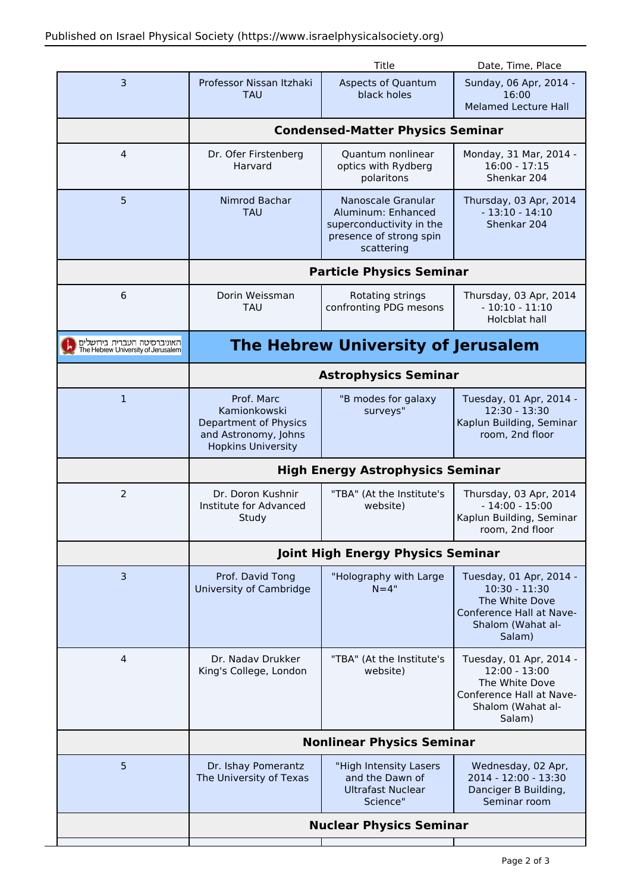|                                                                   |                                                                                                          | Title                                                                                                         | Date, Time, Place                                                                                                       |  |
|-------------------------------------------------------------------|----------------------------------------------------------------------------------------------------------|---------------------------------------------------------------------------------------------------------------|-------------------------------------------------------------------------------------------------------------------------|--|
| 3                                                                 | Professor Nissan Itzhaki<br><b>TAU</b>                                                                   | <b>Aspects of Quantum</b><br>black holes                                                                      | Sunday, 06 Apr, 2014 -<br>16:00<br><b>Melamed Lecture Hall</b>                                                          |  |
|                                                                   | <b>Condensed-Matter Physics Seminar</b>                                                                  |                                                                                                               |                                                                                                                         |  |
| $\overline{4}$                                                    | Dr. Ofer Firstenberg<br>Harvard                                                                          | Quantum nonlinear<br>optics with Rydberg<br>polaritons                                                        | Monday, 31 Mar, 2014 -<br>$16:00 - 17:15$<br>Shenkar 204                                                                |  |
| 5                                                                 | Nimrod Bachar<br><b>TAU</b>                                                                              | Nanoscale Granular<br>Aluminum: Enhanced<br>superconductivity in the<br>presence of strong spin<br>scattering | Thursday, 03 Apr, 2014<br>$-13:10 - 14:10$<br>Shenkar 204                                                               |  |
|                                                                   | <b>Particle Physics Seminar</b>                                                                          |                                                                                                               |                                                                                                                         |  |
| 6                                                                 | Dorin Weissman<br><b>TAU</b>                                                                             | Rotating strings<br>confronting PDG mesons                                                                    | Thursday, 03 Apr, 2014<br>$-10:10 - 11:10$<br>Holcblat hall                                                             |  |
| האוניברסיטה העברית בירושלים<br>The Hebrew University of Jerusalem | <b>The Hebrew University of Jerusalem</b>                                                                |                                                                                                               |                                                                                                                         |  |
|                                                                   | <b>Astrophysics Seminar</b>                                                                              |                                                                                                               |                                                                                                                         |  |
| $\mathbf{1}$                                                      | Prof. Marc<br>Kamionkowski<br>Department of Physics<br>and Astronomy, Johns<br><b>Hopkins University</b> | "B modes for galaxy<br>surveys"                                                                               | Tuesday, 01 Apr, 2014 -<br>12:30 - 13:30<br>Kaplun Building, Seminar<br>room, 2nd floor                                 |  |
|                                                                   | <b>High Energy Astrophysics Seminar</b>                                                                  |                                                                                                               |                                                                                                                         |  |
| $\overline{2}$                                                    | Dr. Doron Kushnir<br>Institute for Advanced<br>Study                                                     | "TBA" (At the Institute's<br>website)                                                                         | Thursday, 03 Apr, 2014<br>$-14:00 - 15:00$<br>Kaplun Building, Seminar<br>room, 2nd floor                               |  |
|                                                                   | <b>Joint High Energy Physics Seminar</b>                                                                 |                                                                                                               |                                                                                                                         |  |
| 3                                                                 | Prof. David Tong<br>University of Cambridge                                                              | "Holography with Large<br>$N = 4"$                                                                            | Tuesday, 01 Apr, 2014 -<br>$10:30 - 11:30$<br>The White Dove<br>Conference Hall at Nave-<br>Shalom (Wahat al-<br>Salam) |  |
| 4                                                                 | Dr. Nadav Drukker<br>King's College, London                                                              | "TBA" (At the Institute's<br>website)                                                                         | Tuesday, 01 Apr, 2014 -<br>$12:00 - 13:00$<br>The White Dove<br>Conference Hall at Nave-<br>Shalom (Wahat al-<br>Salam) |  |
|                                                                   | <b>Nonlinear Physics Seminar</b>                                                                         |                                                                                                               |                                                                                                                         |  |
| 5                                                                 | Dr. Ishay Pomerantz<br>The University of Texas                                                           | "High Intensity Lasers<br>and the Dawn of<br><b>Ultrafast Nuclear</b><br>Science"                             | Wednesday, 02 Apr,<br>2014 - 12:00 - 13:30<br>Danciger B Building,<br>Seminar room                                      |  |
|                                                                   | <b>Nuclear Physics Seminar</b>                                                                           |                                                                                                               |                                                                                                                         |  |
|                                                                   |                                                                                                          |                                                                                                               |                                                                                                                         |  |